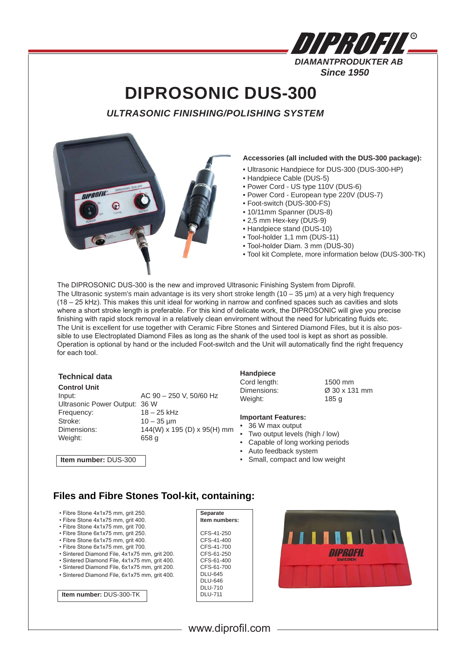| UHRUHA                     |  |
|----------------------------|--|
| <b>DIAMANTPRODUKTER AB</b> |  |
| <b>Since 1950</b>          |  |

# **DIPROSONIC DUS-300**

*ULTRASONIC FINISHING/POLISHING SYSTEM*



#### **Accessories (all included with the DUS-300 package):**

- Ultrasonic Handpiece for DUS-300 (DUS-300-HP)
- Handpiece Cable (DUS-5)
- Power Cord US type 110V (DUS-6)
- Power Cord European type 220V (DUS-7)
- Foot-switch (DUS-300-FS)
- 10/11mm Spanner (DUS-8)
- 2,5 mm Hex-key (DUS-9)
- Handpiece stand (DUS-10)
- Tool-holder 1,1 mm (DUS-11)
- Tool-holder Diam. 3 mm (DUS-30)
- Tool kit Complete, more information below (DUS-300-TK)

The DIPROSONIC DUS-300 is the new and improved Ultrasonic Finishing System from Diprofil. The Ultrasonic system's main advantage is its very short stroke length (10 – 35  $\mu$ m) at a very high frequency (18 – 25 kHz). This makes this unit ideal for working in narrow and confined spaces such as cavities and slots where a short stroke length is preferable. For this kind of delicate work, the DIPROSONIC will give you precise finishing with rapid stock removal in a relatively clean enviroment without the need for lubricating fluids etc. The Unit is excellent for use together with Ceramic Fibre Stones and Sintered Diamond Files, but it is also possible to use Electroplated Diamond Files as long as the shank of the used tool is kept as short as possible. Operation is optional by hand or the included Foot-switch and the Unit will automatically find the right frequency for each tool.

### **Technical data**

#### **Control Unit**

Input: AC 90 – 250 V, 50/60 Hz Ultrasonic Power Output: 36 W Frequency: 18 – 25 kHz Stroke: 10 – 35 µm Dimensions: 144(W) x 195 (D) x 95(H) mm<br>Weight: 658 g Weight:

## **Handpiece**

Cord length: 1500 mm<br>Dimensions: 230 x 13 Weight: 185 g

Dimensions: Ø 30 x 131 mm

### **Important Features:**

- 36 W max output
- Two output levels (high / low)
- Capable of long working periods
- Auto feedback system
- Small, compact and low weight

**Item number:** DUS-300

### **Files and Fibre Stones Tool-kit, containing:**

- Fibre Stone 4x1x75 mm, grit 250.
- Fibre Stone 4x1x75 mm, grit 400.
- Fibre Stone 4x1x75 mm, grit 700.
- Fibre Stone 6x1x75 mm, grit 250. • Fibre Stone 6x1x75 mm, grit 400.
- Fibre Stone 6x1x75 mm, grit 700.
- Sintered Diamond File, 4x1x75 mm, grit 200.
- Sintered Diamond File, 4x1x75 mm, grit 400.
- Sintered Diamond File, 6x1x75 mm, grit 200.
- Sintered Diamond File, 6x1x75 mm, grit 400.



**Separate**



**Item number:** DUS-300-TK